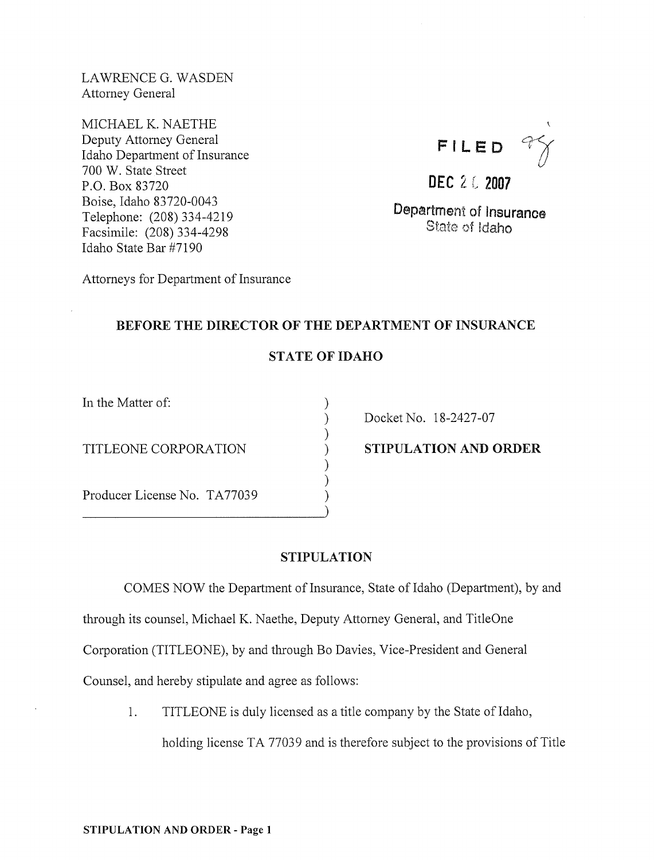LAWRENCEG. WASDEN Attomey General

MICHAEL K. NAETHE Deputy Attomey General Idaho Department of Insurance 700 W. State Street P.O. Box 83720 Boise, Idaho 83720-0043 Telephone: (208) 334-4219 Facsimile: (208) 334-4298 Idaho State Bar #7190



**DEC** 2 6 2007

Department of Insurance State of Idaho

Attorneys for Department of Insurance

## BEFORE THE DIRECTOR OF THE DEPARTMENT OF INSURANCE

# STATE OF IDAHO

) ) ) ) ) ) )

In the Matter of:

TITLEONE CORPORATION

Producer License No. TA77039 (and the summary contract of the set of the set of the set of the set of the set of the set of the set of the set of the set of the set of the set of the set of the set of the set of the set of

Docket No. 18-2427-07

STIPULATION AND ORDER

### STIPULATION

COMES NOW the Department of Insurance, State of Idaho (Department), by and through its counsel, Michael K. Naethe, Deputy Attomey General, and TitleOne Corporation (TITLEONE), by and through Bo Davies, Vice-President and General Counsel, and hereby stipulate and agree as follows:

1. TITLEONE is duly licensed as a title company by the State of Idaho, holding license TA 77039 and is therefore subject to the provisions of Title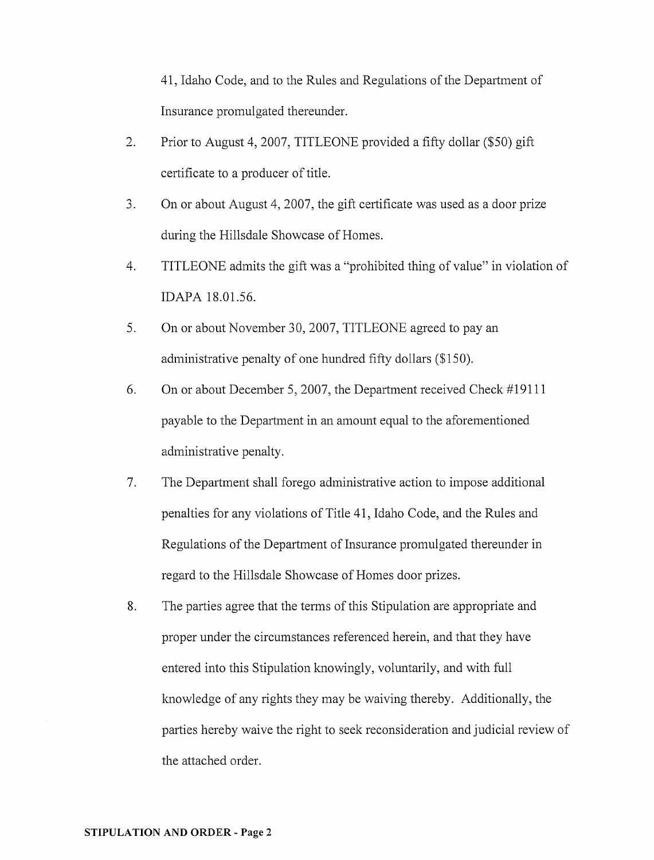41, Idaho Code, and to the Rules and Regulations of the Department of Insurance promulgated thereunder.

- 2. Prior to August 4, 2007, TITLEONE provided a fifty dollar (\$50) gift certificate to a producer of title.
- 3. On or about August 4,2007, the gift certificate was used as a door prize during the Hillsdale Showcase of Homes.
- 4. TITLEONE admits the gift was a "prohibited thing of value" in violation of IDAPA 18.01.56.
- 5. On or about November 30, 2007, TITLEONE agreed to pay an administrative penalty of one hundred fifty dollars (\$150).
- 6. On or about December 5, 2007, the Department received Check #19111 payable to the Department in an amount equal to the aforementioned administrative penalty.
- 7. The Department shall forego administrative action to impose additional penalties for any violations of Title 41, Idaho Code, and the Rules and Regulations of the Department of Insurance promulgated thereunder in regard to the Hillsdale Showcase of Homes door prizes.
- 8. The parties agree that the terms of this Stipulation are appropriate and proper under the circumstances referenced herein, and that they have entered into this Stipulation knowingly, voluntarily, and with full knowledge of any rights they may be waiving thereby. Additionally, the parties hereby waive the right to seek reconsideration and judicial review of the attached order.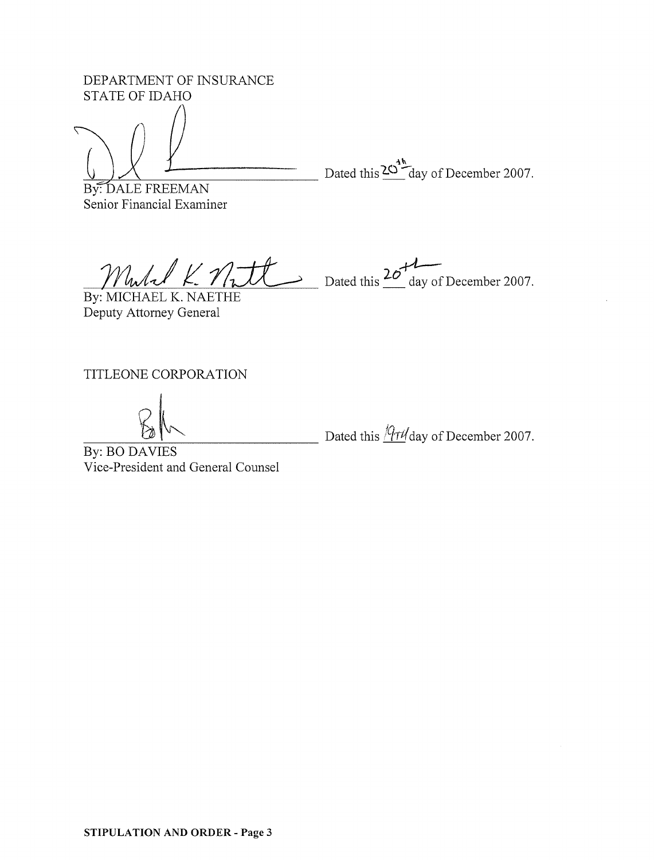DEPARTMENT OF INSURANCE STATE OF IDAHO

Dated this  $\frac{20^{4h}}{h}$  day of December 2007.

By: DALE FREEMAN Senior Financial Examiner

 $W_{w}/L/L$  /1.  $W_{w}$  Dated this  $20^{+1}$  day of December 2007.

By: MICHAEL K. NAETHE Deputy Attorney General

TITLEONE CORPORATION

Dated this  $\sqrt{\frac{q \tau \ell}{\omega}}$  day of December 2007.

By: BO DAVIES Vice-President and General Counsel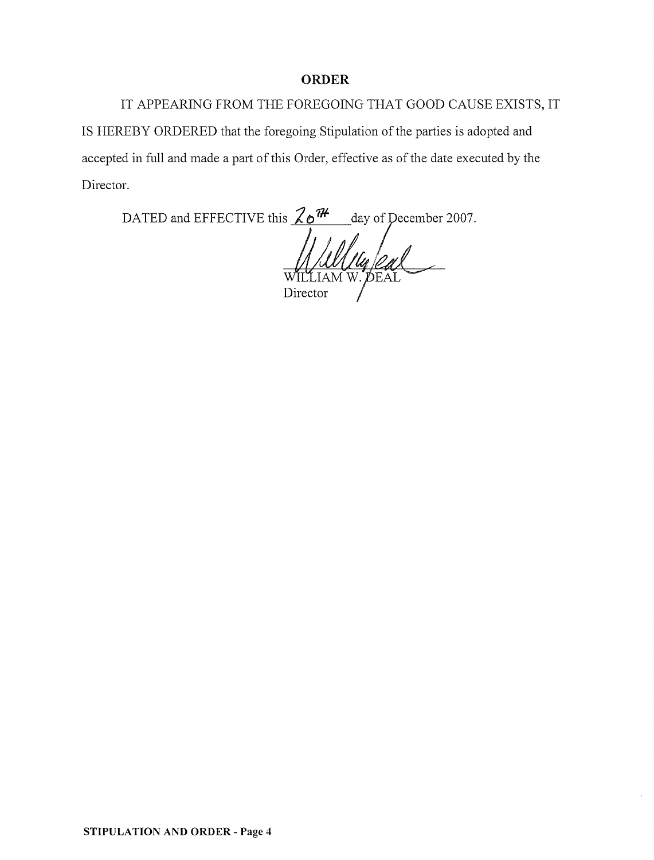#### **ORDER**

IT APPEARING FROM THE FOREGOING THAT GOOD CAUSE EXISTS, IT IS HEREBY ORDERED that the foregoing Stipulation of the parties is adopted and accepted in full and made a part of this Order, effective as of the date executed by the Director.

DATED and EFFECTIVE this  $\frac{2e^{\pi}}{\sqrt{1-\frac{1}{2}e^{\pi}}}}$  day of December 2007. Director